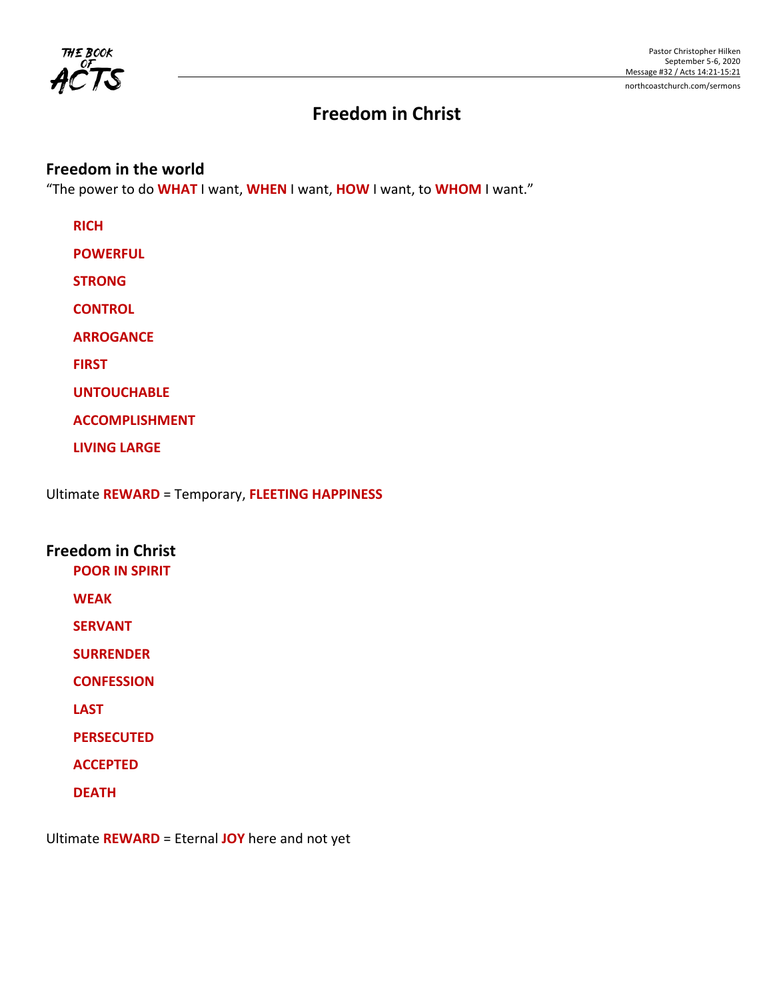

# **Freedom in Christ**

## **Freedom in the world**

"The power to do **WHAT** I want, **WHEN** I want, **HOW** I want, to **WHOM** I want."

| <b>RICH</b>           |
|-----------------------|
| <b>POWERFUL</b>       |
| <b>STRONG</b>         |
| <b>CONTROL</b>        |
| <b>ARROGANCE</b>      |
| <b>FIRST</b>          |
| <b>UNTOUCHABLE</b>    |
| <b>ACCOMPLISHMENT</b> |
| <b>LIVING LARGE</b>   |
|                       |

Ultimate **REWARD** = Temporary, **FLEETING HAPPINESS**

## **Freedom in Christ**

**POOR IN SPIRIT**

**WEAK**

**SERVANT**

**SURRENDER**

**CONFESSION**

**LAST**

**PERSECUTED**

**ACCEPTED**

**DEATH**

Ultimate **REWARD** = Eternal **JOY** here and not yet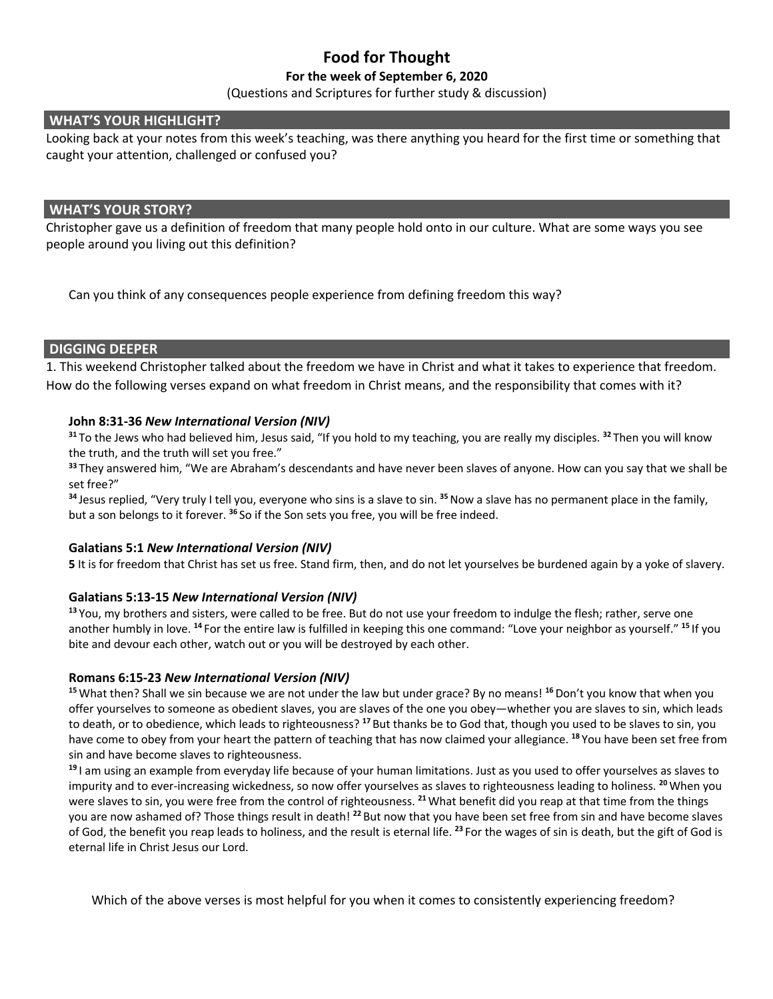## **Food for Thought**

## **For the week of September 6, 2020**

(Questions and Scriptures for further study & discussion)

### **WHAT'S YOUR HIGHLIGHT?**

Looking back at your notes from this week's teaching, was there anything you heard for the first time or something that caught your attention, challenged or confused you?

#### **WHAT'S YOUR STORY?**

Christopher gave us a definition of freedom that many people hold onto in our culture. What are some ways you see people around you living out this definition?

Can you think of any consequences people experience from defining freedom this way?

## **DIGGING DEEPER**

1. This weekend Christopher talked about the freedom we have in Christ and what it takes to experience that freedom. How do the following verses expand on what freedom in Christ means, and the responsibility that comes with it?

### **John 8:31-36** *New International Version (NIV)*

**<sup>31</sup>** To the Jews who had believed him, Jesus said, "If you hold to my teaching, you are really my disciples. **<sup>32</sup>** Then you will know the truth, and the truth will set you free."

**<sup>33</sup>** They answered him, "We are Abraham's descendants and have never been slaves of anyone. How can you say that we shall be set free?"

**<sup>34</sup>** Jesus replied, "Very truly I tell you, everyone who sins is a slave to sin. **<sup>35</sup>**Now a slave has no permanent place in the family, but a son belongs to it forever. **<sup>36</sup>** So if the Son sets you free, you will be free indeed.

#### **Galatians 5:1** *New International Version (NIV)*

**5** It is for freedom that Christ has set us free. Stand firm, then, and do not let yourselves be burdened again by a yoke of slavery.

#### **Galatians 5:13-15** *New International Version (NIV)*

**<sup>13</sup>** You, my brothers and sisters, were called to be free. But do not use your freedom to indulge the flesh; rather, serve one another humbly in love. **<sup>14</sup>** For the entire law is fulfilled in keeping this one command: "Love your neighbor as yourself." **<sup>15</sup>** If you bite and devour each other, watch out or you will be destroyed by each other.

#### **Romans 6:15-23** *New International Version (NIV)*

<sup>15</sup> What then? Shall we sin because we are not under the law but under grace? By no means! <sup>16</sup> Don't you know that when you offer yourselves to someone as obedient slaves, you are slaves of the one you obey—whether you are slaves to sin, which leads to death, or to obedience, which leads to righteousness? **<sup>17</sup>** But thanks be to God that, though you used to be slaves to sin, you have come to obey from your heart the pattern of teaching that has now claimed your allegiance. **<sup>18</sup>** You have been set free from sin and have become slaves to righteousness.

**<sup>19</sup>** I am using an example from everyday life because of your human limitations. Just as you used to offer yourselves as slaves to impurity and to ever-increasing wickedness, so now offer yourselves as slaves to righteousness leading to holiness. **<sup>20</sup>**When you were slaves to sin, you were free from the control of righteousness. **<sup>21</sup>**What benefit did you reap at that time from the things you are now ashamed of? Those things result in death! **<sup>22</sup>** But now that you have been set free from sin and have become slaves of God, the benefit you reap leads to holiness, and the result is eternal life. **<sup>23</sup>** For the wages of sin is death, but the gift of God is eternal life in Christ Jesus our Lord.

Which of the above verses is most helpful for you when it comes to consistently experiencing freedom?